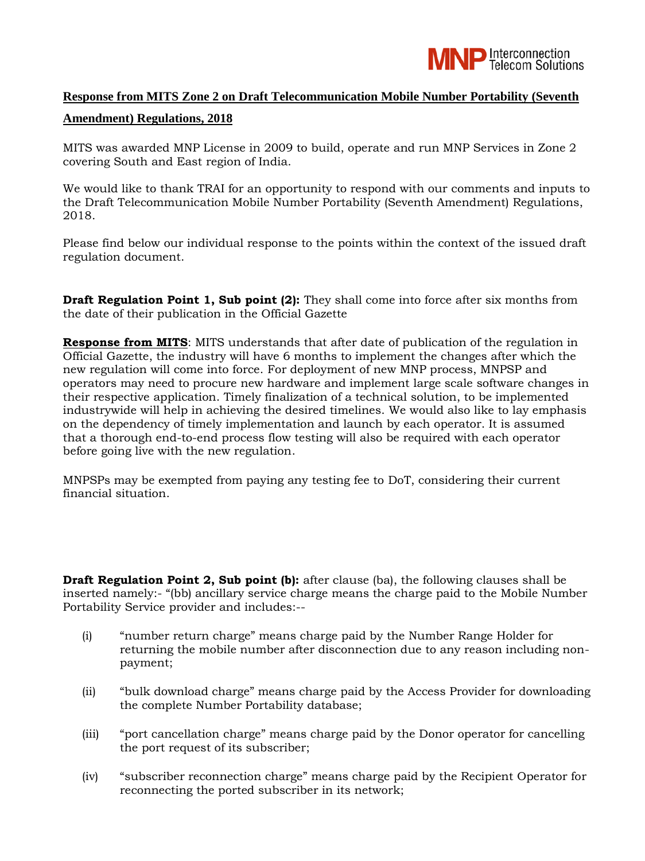

## **Response from MITS Zone 2 on Draft Telecommunication Mobile Number Portability (Seventh**

## **Amendment) Regulations, 2018**

MITS was awarded MNP License in 2009 to build, operate and run MNP Services in Zone 2 covering South and East region of India.

We would like to thank TRAI for an opportunity to respond with our comments and inputs to the Draft Telecommunication Mobile Number Portability (Seventh Amendment) Regulations, 2018.

Please find below our individual response to the points within the context of the issued draft regulation document.

**Draft Regulation Point 1, Sub point (2):** They shall come into force after six months from the date of their publication in the Official Gazette

**Response from MITS**: MITS understands that after date of publication of the regulation in Official Gazette, the industry will have 6 months to implement the changes after which the new regulation will come into force. For deployment of new MNP process, MNPSP and operators may need to procure new hardware and implement large scale software changes in their respective application. Timely finalization of a technical solution, to be implemented industrywide will help in achieving the desired timelines. We would also like to lay emphasis on the dependency of timely implementation and launch by each operator. It is assumed that a thorough end-to-end process flow testing will also be required with each operator before going live with the new regulation.

MNPSPs may be exempted from paying any testing fee to DoT, considering their current financial situation.

**Draft Regulation Point 2, Sub point (b):** after clause (ba), the following clauses shall be inserted namely:- "(bb) ancillary service charge means the charge paid to the Mobile Number Portability Service provider and includes:--

- (i) "number return charge" means charge paid by the Number Range Holder for returning the mobile number after disconnection due to any reason including nonpayment;
- (ii) "bulk download charge" means charge paid by the Access Provider for downloading the complete Number Portability database;
- (iii) "port cancellation charge" means charge paid by the Donor operator for cancelling the port request of its subscriber;
- (iv) "subscriber reconnection charge" means charge paid by the Recipient Operator for reconnecting the ported subscriber in its network;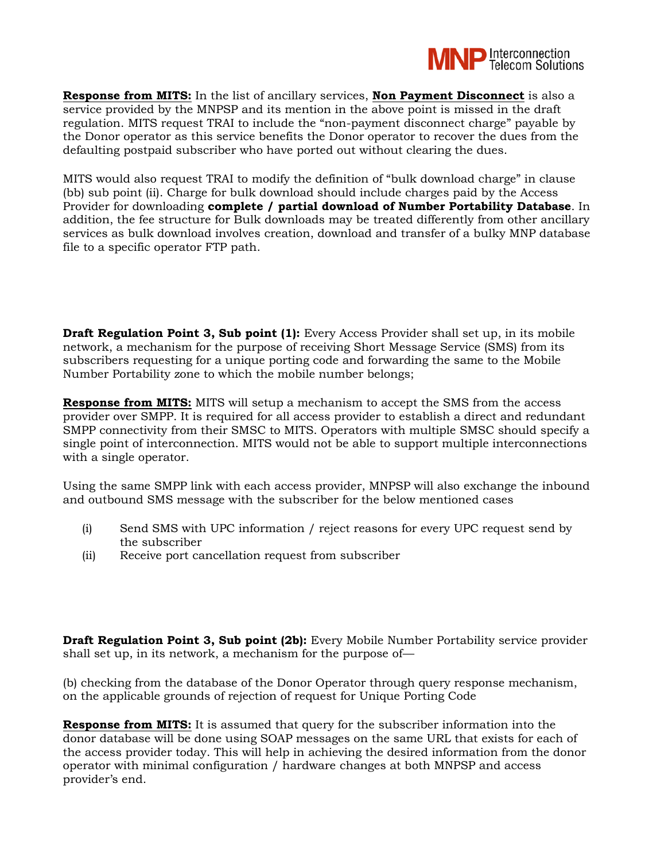

**Response from MITS:** In the list of ancillary services, **Non Payment Disconnect** is also a service provided by the MNPSP and its mention in the above point is missed in the draft regulation. MITS request TRAI to include the "non-payment disconnect charge" payable by the Donor operator as this service benefits the Donor operator to recover the dues from the defaulting postpaid subscriber who have ported out without clearing the dues.

MITS would also request TRAI to modify the definition of "bulk download charge" in clause (bb) sub point (ii). Charge for bulk download should include charges paid by the Access Provider for downloading **complete / partial download of Number Portability Database**. In addition, the fee structure for Bulk downloads may be treated differently from other ancillary services as bulk download involves creation, download and transfer of a bulky MNP database file to a specific operator FTP path.

**Draft Regulation Point 3, Sub point (1):** Every Access Provider shall set up, in its mobile network, a mechanism for the purpose of receiving Short Message Service (SMS) from its subscribers requesting for a unique porting code and forwarding the same to the Mobile Number Portability zone to which the mobile number belongs;

**Response from MITS:** MITS will setup a mechanism to accept the SMS from the access provider over SMPP. It is required for all access provider to establish a direct and redundant SMPP connectivity from their SMSC to MITS. Operators with multiple SMSC should specify a single point of interconnection. MITS would not be able to support multiple interconnections with a single operator.

Using the same SMPP link with each access provider, MNPSP will also exchange the inbound and outbound SMS message with the subscriber for the below mentioned cases

- (i) Send SMS with UPC information / reject reasons for every UPC request send by the subscriber
- (ii) Receive port cancellation request from subscriber

**Draft Regulation Point 3, Sub point (2b):** Every Mobile Number Portability service provider shall set up, in its network, a mechanism for the purpose of—

(b) checking from the database of the Donor Operator through query response mechanism, on the applicable grounds of rejection of request for Unique Porting Code

**Response from MITS:** It is assumed that query for the subscriber information into the donor database will be done using SOAP messages on the same URL that exists for each of the access provider today. This will help in achieving the desired information from the donor operator with minimal configuration / hardware changes at both MNPSP and access provider's end.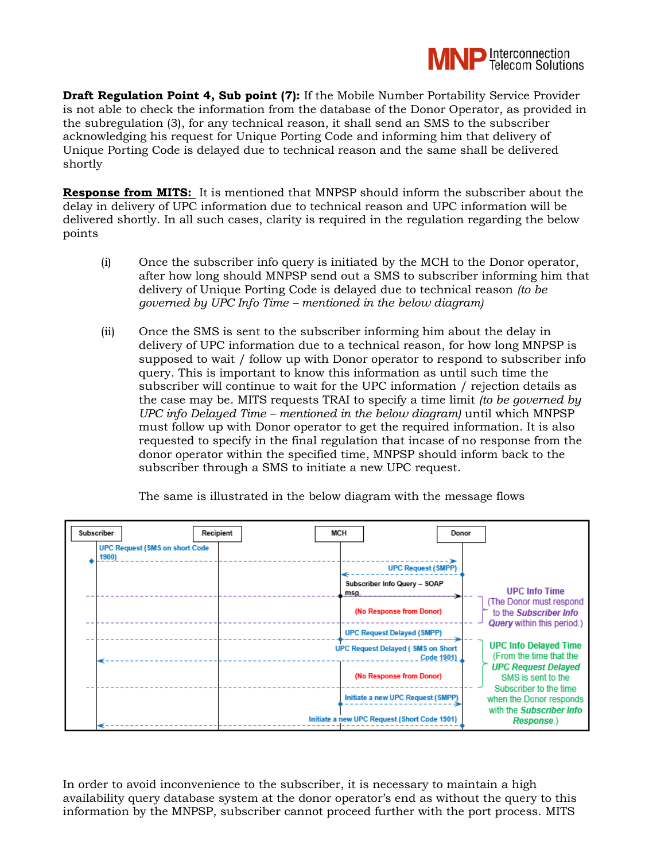

**Draft Regulation Point 4, Sub point (7):** If the Mobile Number Portability Service Provider is not able to check the information from the database of the Donor Operator, as provided in the subregulation (3), for any technical reason, it shall send an SMS to the subscriber acknowledging his request for Unique Porting Code and informing him that delivery of Unique Porting Code is delayed due to technical reason and the same shall be delivered shortly

**Response from MITS:** It is mentioned that MNPSP should inform the subscriber about the delay in delivery of UPC information due to technical reason and UPC information will be delivered shortly. In all such cases, clarity is required in the regulation regarding the below points

- (i) Once the subscriber info query is initiated by the MCH to the Donor operator, after how long should MNPSP send out a SMS to subscriber informing him that delivery of Unique Porting Code is delayed due to technical reason *(to be governed by UPC Info Time – mentioned in the below diagram)*
- (ii) Once the SMS is sent to the subscriber informing him about the delay in delivery of UPC information due to a technical reason, for how long MNPSP is supposed to wait / follow up with Donor operator to respond to subscriber info query. This is important to know this information as until such time the subscriber will continue to wait for the UPC information / rejection details as the case may be. MITS requests TRAI to specify a time limit *(to be governed by UPC info Delayed Time – mentioned in the below diagram)* until which MNPSP must follow up with Donor operator to get the required information. It is also requested to specify in the final regulation that incase of no response from the donor operator within the specified time, MNPSP should inform back to the subscriber through a SMS to initiate a new UPC request.



The same is illustrated in the below diagram with the message flows

In order to avoid inconvenience to the subscriber, it is necessary to maintain a high availability query database system at the donor operator's end as without the query to this information by the MNPSP, subscriber cannot proceed further with the port process. MITS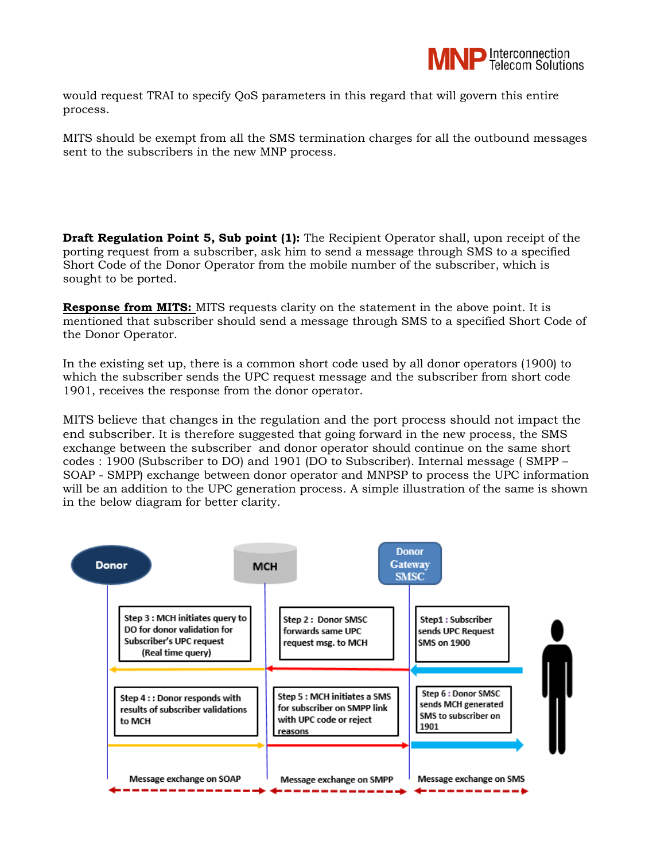

would request TRAI to specify QoS parameters in this regard that will govern this entire process.

MITS should be exempt from all the SMS termination charges for all the outbound messages sent to the subscribers in the new MNP process.

**Draft Regulation Point 5, Sub point (1):** The Recipient Operator shall, upon receipt of the porting request from a subscriber, ask him to send a message through SMS to a specified Short Code of the Donor Operator from the mobile number of the subscriber, which is sought to be ported.

**Response from MITS:** MITS requests clarity on the statement in the above point. It is mentioned that subscriber should send a message through SMS to a specified Short Code of the Donor Operator.

In the existing set up, there is a common short code used by all donor operators (1900) to which the subscriber sends the UPC request message and the subscriber from short code 1901, receives the response from the donor operator.

MITS believe that changes in the regulation and the port process should not impact the end subscriber. It is therefore suggested that going forward in the new process, the SMS exchange between the subscriber and donor operator should continue on the same short codes : 1900 (Subscriber to DO) and 1901 (DO to Subscriber). Internal message ( SMPP – SOAP - SMPP) exchange between donor operator and MNPSP to process the UPC information will be an addition to the UPC generation process. A simple illustration of the same is shown in the below diagram for better clarity.

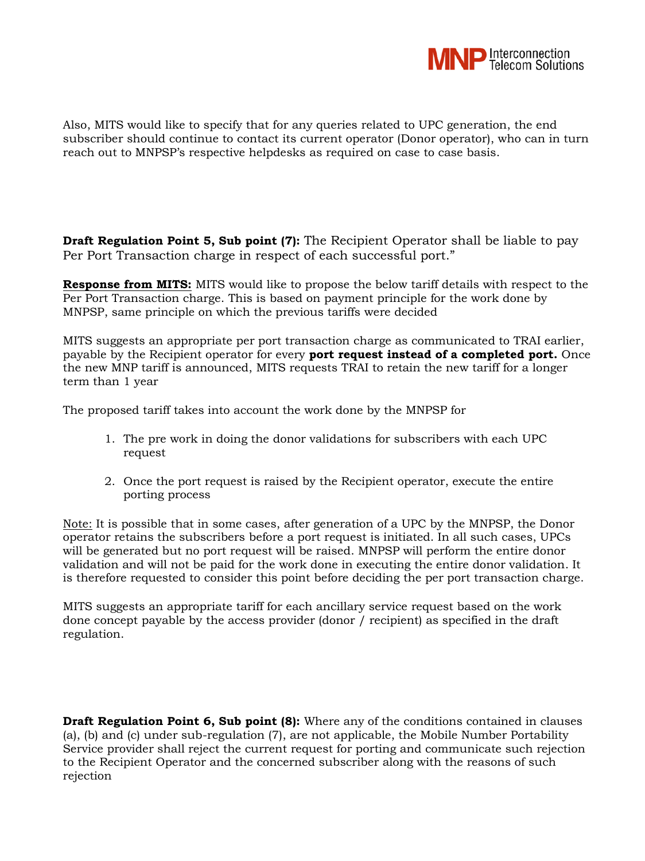

Also, MITS would like to specify that for any queries related to UPC generation, the end subscriber should continue to contact its current operator (Donor operator), who can in turn reach out to MNPSP's respective helpdesks as required on case to case basis.

**Draft Regulation Point 5, Sub point (7):** The Recipient Operator shall be liable to pay Per Port Transaction charge in respect of each successful port."

**Response from MITS:** MITS would like to propose the below tariff details with respect to the Per Port Transaction charge. This is based on payment principle for the work done by MNPSP, same principle on which the previous tariffs were decided

MITS suggests an appropriate per port transaction charge as communicated to TRAI earlier, payable by the Recipient operator for every **port request instead of a completed port.** Once the new MNP tariff is announced, MITS requests TRAI to retain the new tariff for a longer term than 1 year

The proposed tariff takes into account the work done by the MNPSP for

- 1. The pre work in doing the donor validations for subscribers with each UPC request
- 2. Once the port request is raised by the Recipient operator, execute the entire porting process

Note: It is possible that in some cases, after generation of a UPC by the MNPSP, the Donor operator retains the subscribers before a port request is initiated. In all such cases, UPCs will be generated but no port request will be raised. MNPSP will perform the entire donor validation and will not be paid for the work done in executing the entire donor validation. It is therefore requested to consider this point before deciding the per port transaction charge.

MITS suggests an appropriate tariff for each ancillary service request based on the work done concept payable by the access provider (donor / recipient) as specified in the draft regulation.

**Draft Regulation Point 6, Sub point (8):** Where any of the conditions contained in clauses (a), (b) and (c) under sub-regulation (7), are not applicable, the Mobile Number Portability Service provider shall reject the current request for porting and communicate such rejection to the Recipient Operator and the concerned subscriber along with the reasons of such rejection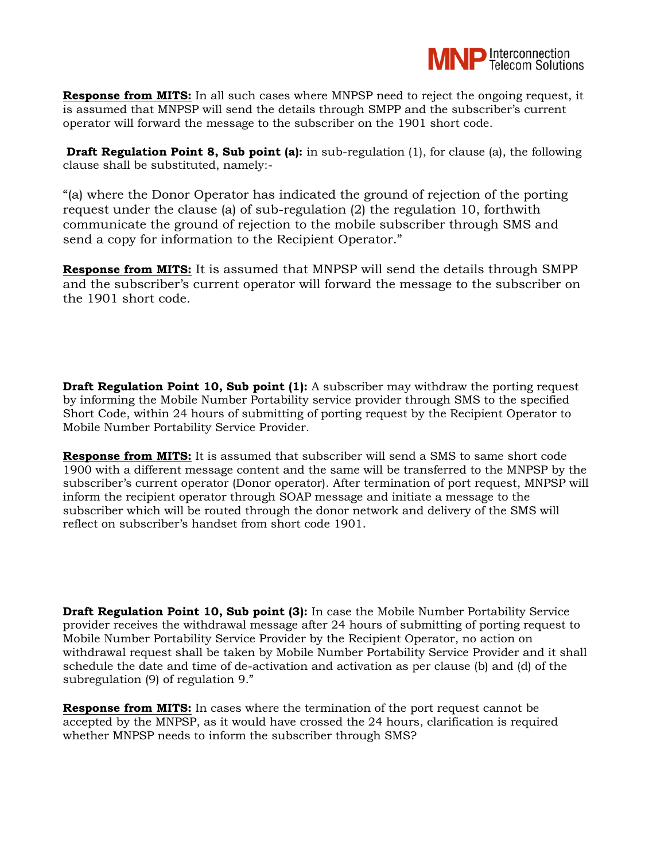

**Response from MITS:** In all such cases where MNPSP need to reject the ongoing request, it is assumed that MNPSP will send the details through SMPP and the subscriber's current operator will forward the message to the subscriber on the 1901 short code.

**Draft Regulation Point 8, Sub point (a):** in sub-regulation (1), for clause (a), the following clause shall be substituted, namely:-

"(a) where the Donor Operator has indicated the ground of rejection of the porting request under the clause (a) of sub-regulation (2) the regulation 10, forthwith communicate the ground of rejection to the mobile subscriber through SMS and send a copy for information to the Recipient Operator."

**Response from MITS:** It is assumed that MNPSP will send the details through SMPP and the subscriber's current operator will forward the message to the subscriber on the 1901 short code.

**Draft Regulation Point 10, Sub point (1):** A subscriber may withdraw the porting request by informing the Mobile Number Portability service provider through SMS to the specified Short Code, within 24 hours of submitting of porting request by the Recipient Operator to Mobile Number Portability Service Provider.

**Response from MITS:** It is assumed that subscriber will send a SMS to same short code 1900 with a different message content and the same will be transferred to the MNPSP by the subscriber's current operator (Donor operator). After termination of port request, MNPSP will inform the recipient operator through SOAP message and initiate a message to the subscriber which will be routed through the donor network and delivery of the SMS will reflect on subscriber's handset from short code 1901.

**Draft Regulation Point 10, Sub point (3):** In case the Mobile Number Portability Service provider receives the withdrawal message after 24 hours of submitting of porting request to Mobile Number Portability Service Provider by the Recipient Operator, no action on withdrawal request shall be taken by Mobile Number Portability Service Provider and it shall schedule the date and time of de-activation and activation as per clause (b) and (d) of the subregulation (9) of regulation 9."

**Response from MITS:** In cases where the termination of the port request cannot be accepted by the MNPSP, as it would have crossed the 24 hours, clarification is required whether MNPSP needs to inform the subscriber through SMS?